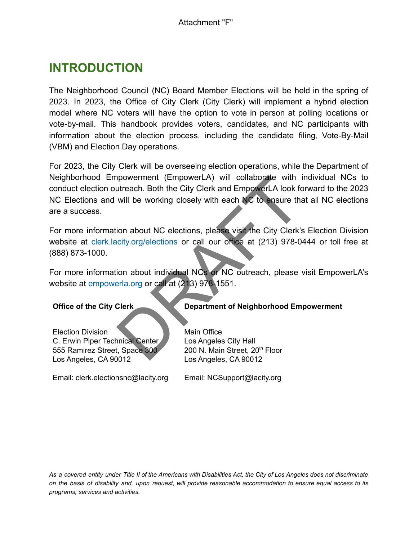# **INTRODUCTION**

The Neighborhood Council (NC) Board Member Elections will be held in the spring of 2023. In 2023, the Office of City Clerk (City Clerk) will implement a hybrid election model where NC voters will have the option to vote in person at polling locations or vote-by-mail. This handbook provides voters, candidates, and NC participants with information about the election process, including the candidate filing, Vote-By-Mail (VBM) and Election Day operations.

For 2023, the City Clerk will be overseeing election operations, while the Department of Neighborhood Empowerment (EmpowerLA) will collaborate with individual NCs to conduct election outreach. Both the City Clerk and EmpowerLA look forward to the 2023 NC Elections and will be working closely with each NC to ensure that all NC elections are a success. proverment (EmpowerLA) will collaborate with individual<br>utreach. Both the City Clerk and EmpowerLA look forward to the<br>will be working closely with each MC to ensure that all NC e<br>ion about NC elections, please visit the C

For more information about NC elections, please visit the City Clerk's Election Division website at [clerk.lacity.org/elections](http://clerk.lacity.org/los-angeles-city-clerk-election-division) or call our office at (213) 978-0444 or toll free at (888) 873-1000.

For more information about individual NCs or NC outreach, please visit EmpowerLA's website at [empowerla.org](http://empowerla.org/) or call at (213) 978-1551.

Election Division C. Erwin Piper Technical Center 555 Ramirez Street, Space 300 Los Angeles, CA 90012

Email: clerk.electionsnc@lacity.org

**Office of the City Clerk Department of Neighborhood Empowerment** 

Main Office Los Angeles City Hall 200 N. Main Street, 20<sup>th</sup> Floor Los Angeles, CA 90012

Email: NCSupport@lacity.org

*As a covered entity under Title II of the Americans with Disabilities Act, the City of Los Angeles does not discriminate on the basis of disability and, upon request, will provide reasonable accommodation to ensure equal access to its programs, services and activities.*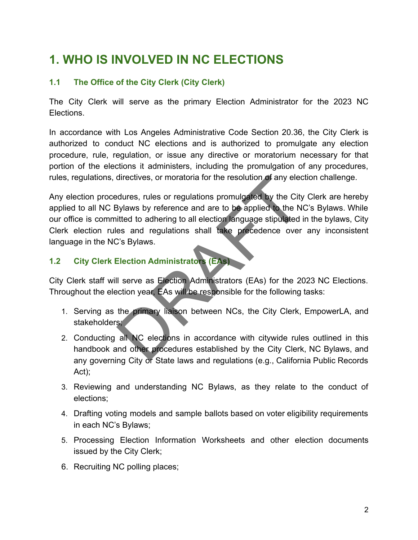# **1. WHO IS INVOLVED IN NC ELECTIONS**

### **1.1 The Office of the City Clerk (City Clerk)**

The City Clerk will serve as the primary Election Administrator for the 2023 NC Elections.

In accordance with Los Angeles Administrative Code Section 20.36, the City Clerk is authorized to conduct NC elections and is authorized to promulgate any election procedure, rule, regulation, or issue any directive or moratorium necessary for that portion of the elections it administers, including the promulgation of any procedures, rules, regulations, directives, or moratoria for the resolution of any election challenge.

Any election procedures, rules or regulations promulgated by the City Clerk are hereby applied to all NC Bylaws by reference and are to be applied to the NC's Bylaws. While our office is committed to adhering to all election language stipulated in the bylaws, City Clerk election rules and regulations shall take precedence over any inconsistent language in the NC's Bylaws. directives, or moratoria for the resolution of any electric divers, rules or regulations promulgated by the City<br>Bylaws by reference and are to be applied to the N<br>itted to adhering to all election language stipulated<br>es a

### **1.2 City Clerk Election Administrators (EAs)**

City Clerk staff will serve as Election Administrators (EAs) for the 2023 NC Elections. Throughout the election year, EAs will be responsible for the following tasks:

- 1. Serving as the primary liaison between NCs, the City Clerk, EmpowerLA, and stakeholders;
- 2. Conducting all NC elections in accordance with citywide rules outlined in this handbook and other procedures established by the City Clerk, NC Bylaws, and any governing City or State laws and regulations (e.g., California Public Records Act);
- 3. Reviewing and understanding NC Bylaws, as they relate to the conduct of elections;
- 4. Drafting voting models and sample ballots based on voter eligibility requirements in each NC's Bylaws;
- 5. Processing Election Information Worksheets and other election documents issued by the City Clerk;
- 6. Recruiting NC polling places;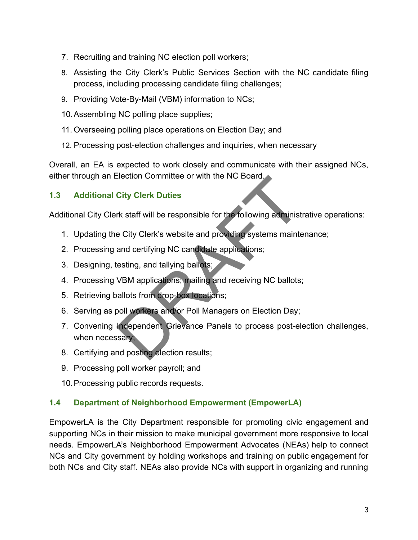- 7. Recruiting and training NC election poll workers;
- 8. Assisting the City Clerk's Public Services Section with the NC candidate filing process, including processing candidate filing challenges;
- 9. Providing Vote-By-Mail (VBM) information to NCs;
- 10.Assembling NC polling place supplies;
- 11. Overseeing polling place operations on Election Day; and
- 12. Processing post-election challenges and inquiries, when necessary

Overall, an EA is expected to work closely and communicate with their assigned NCs, either through an Election Committee or with the NC Board.

## **1.3 Additional City Clerk Duties**

Additional City Clerk staff will be responsible for the following administrative operations:

- 1. Updating the City Clerk's website and providing systems maintenance;
- 2. Processing and certifying NC candidate applications;
- 3. Designing, testing, and tallying ballots;
- 4. Processing VBM applications; mailing and receiving NC ballots;
- 5. Retrieving ballots from drop-box locations;
- 6. Serving as poll workers and/or Poll Managers on Election Day;
- 7. Convening Independent Grievance Panels to process post-election challenges, when necessary; City Clerk Duties<br>
The NC Board.<br>
City Clerk Duties<br>
Fix staff will be responsible for the following administ<br>
E City Clerk's website and providing systems mainte<br>
and certifying NC candidate applications;<br>
resting, and ta
- 8. Certifying and posting election results;
- 9. Processing poll worker payroll; and
- 10.Processing public records requests.

## **1.4 Department of Neighborhood Empowerment (EmpowerLA)**

EmpowerLA is the City Department responsible for promoting civic engagement and supporting NCs in their mission to make municipal government more responsive to local needs. EmpowerLA's Neighborhood Empowerment Advocates (NEAs) help to connect NCs and City government by holding workshops and training on public engagement for both NCs and City staff. NEAs also provide NCs with support in organizing and running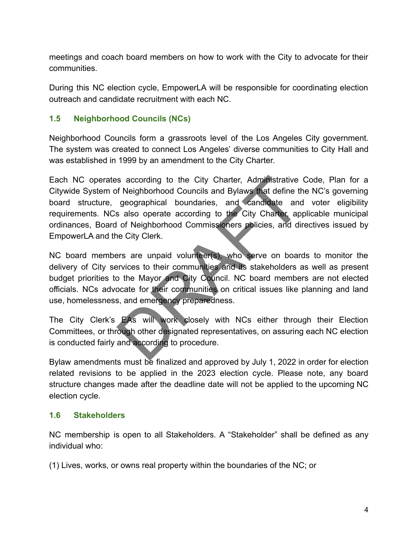meetings and coach board members on how to work with the City to advocate for their communities.

During this NC election cycle, EmpowerLA will be responsible for coordinating election outreach and candidate recruitment with each NC.

### **1.5 Neighborhood Councils (NCs)**

Neighborhood Councils form a grassroots level of the Los Angeles City government. The system was created to connect Los Angeles' diverse communities to City Hall and was established in 1999 by an amendment to the City Charter.

Each NC operates according to the City Charter, Administrative Code, Plan for a Citywide System of Neighborhood Councils and Bylaws that define the NC's governing board structure, geographical boundaries, and candidate and voter eligibility requirements. NCs also operate according to the City Charter, applicable municipal ordinances, Board of Neighborhood Commissioners policies, and directives issued by EmpowerLA and the City Clerk. is according to the City Charter, Administrative<br>of Neighborhood Councils and Bylaws that define the geographical boundaries, and candidate and<br>a salso operate according to the City Charter, ap<br>of Neighborhood Commissioner

NC board members are unpaid volunteer(s), who serve on boards to monitor the delivery of City services to their communities and its stakeholders as well as present budget priorities to the Mayor and City Council. NC board members are not elected officials. NCs advocate for their communities on critical issues like planning and land use, homelessness, and emergency preparedness.

The City Clerk's EAs will work closely with NCs either through their Election Committees, or through other designated representatives, on assuring each NC election is conducted fairly and according to procedure.

Bylaw amendments must be finalized and approved by July 1, 2022 in order for election related revisions to be applied in the 2023 election cycle. Please note, any board structure changes made after the deadline date will not be applied to the upcoming NC election cycle.

#### **1.6 Stakeholders**

NC membership is open to all Stakeholders. A "Stakeholder" shall be defined as any individual who:

(1) Lives, works, or owns real property within the boundaries of the NC; or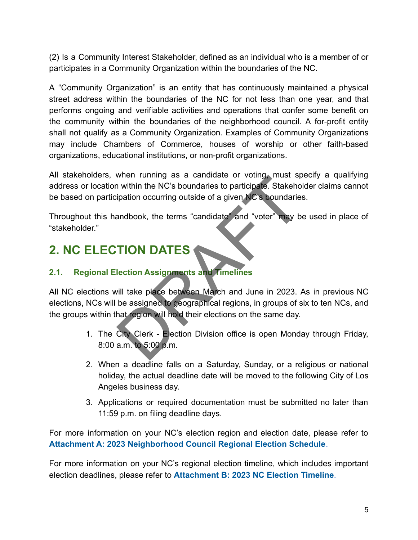(2) Is a Community Interest Stakeholder, defined as an individual who is a member of or participates in a Community Organization within the boundaries of the NC.

A "Community Organization" is an entity that has continuously maintained a physical street address within the boundaries of the NC for not less than one year, and that performs ongoing and verifiable activities and operations that confer some benefit on the community within the boundaries of the neighborhood council. A for-profit entity shall not qualify as a Community Organization. Examples of Community Organizations may include Chambers of Commerce, houses of worship or other faith-based organizations, educational institutions, or non-profit organizations.

All stakeholders, when running as a candidate or voting, must specify a qualifying address or location within the NC's boundaries to participate. Stakeholder claims cannot be based on participation occurring outside of a given NC's boundaries.

Throughout this handbook, the terms "candidate" and "voter" may be used in place of "stakeholder."

# **2. NC ELECTION DATES**

# **2.1. Regional Election Assignments and Timelines**

All NC elections will take place between March and June in 2023. As in previous NC elections, NCs will be assigned to geographical regions, in groups of six to ten NCs, and the groups within that region will hold their elections on the same day. Wrien Tunning as a candidate of voling must sp<br>
in within the NC's boundaries to participate. Stakeho<br>
ipation occurring outside of a given NC's boundaries<br>
andbook, the terms "candidate" and "voter" may b<br>
TION DATES<br>
lec

- 1. The City Clerk Election Division office is open Monday through Friday, 8:00 a.m. to 5:00 p.m.
- 2. When a deadline falls on a Saturday, Sunday, or a religious or national holiday, the actual deadline date will be moved to the following City of Los Angeles business day.
- 3. Applications or required documentation must be submitted no later than 11:59 p.m. on filing deadline days.

For more information on your NC's election region and election date, please refer to **Attachment A: 2023 Neighborhood Council Regional Election Schedule**.

For more information on your NC's regional election timeline, which includes important election deadlines, please refer to **Attachment B: 2023 NC Election Timeline**.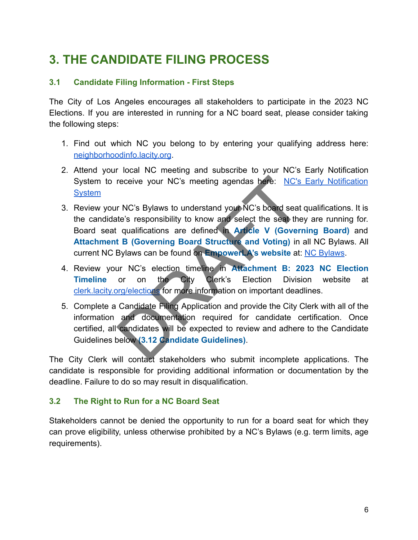# **3. THE CANDIDATE FILING PROCESS**

### **3.1 Candidate Filing Information - First Steps**

The City of Los Angeles encourages all stakeholders to participate in the 2023 NC Elections. If you are interested in running for a NC board seat, please consider taking the following steps:

- 1. Find out which NC you belong to by entering your qualifying address here: [neighborhoodinfo.lacity.org](https://neighborhoodinfo.lacity.org/).
- 2. Attend your local NC meeting and subscribe to your NC's Early Notification System to receive your NC's meeting agendas here: [NC's Early Notification](https://www.lacity.org/government/subscribe-agendasnotifications/neighborhood-councils) **[System](https://www.lacity.org/government/subscribe-agendasnotifications/neighborhood-councils)**
- 3. Review your NC's Bylaws to understand your NC's board seat qualifications. It is the candidate's responsibility to know and select the seat they are running for. Board seat qualifications are defined in **Article V (Governing Board)** and **Attachment B (Governing Board Structure and Voting)** in all NC Bylaws. All current NC Bylaws can be found on **EmpowerLA's website** at: [NC Bylaws](https://lacity.quickbase.com/db/bn9g6crpq?a=q&qid=5). receive your NC's meeting agendas here: NC's<br>
r NC's Bylaws to understand your NC's board seat<br>
te's responsibility to know and select the seat the<br>
qualifications are defined in Article V (Govern<br>
t B (Governing Board Str
- 4. Review your NC's election timeline in **Attachment B: 2023 NC Election Timeline** or on the City Clerk's Election Division website at [clerk.lacity.org/elections](https://clerk.lacity.org/clerk-services/elections) for more information on important deadlines.
- 5. Complete a Candidate Filing Application and provide the City Clerk with all of the information and documentation required for candidate certification. Once certified, all candidates will be expected to review and adhere to the Candidate Guidelines below **(3.12 Candidate Guidelines)**.

The City Clerk will contact stakeholders who submit incomplete applications. The candidate is responsible for providing additional information or documentation by the deadline. Failure to do so may result in disqualification.

#### **3.2 The Right to Run for a NC Board Seat**

Stakeholders cannot be denied the opportunity to run for a board seat for which they can prove eligibility, unless otherwise prohibited by a NC's Bylaws (e.g. term limits, age requirements).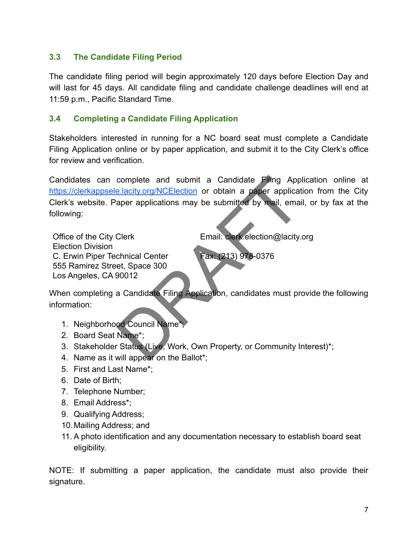### **3.3 The Candidate Filing Period**

The candidate filing period will begin approximately 120 days before Election Day and will last for 45 days. All candidate filing and candidate challenge deadlines will end at 11:59 p.m., Pacific Standard Time.

#### **3.4 Completing a Candidate Filing Application**

Stakeholders interested in running for a NC board seat must complete a Candidate Filing Application online or by paper application, and submit it to the City Clerk's office for review and verification.

Candidates can complete and submit a Candidate Filing Application online at <https://clerkappsele.lacity.org/NCElection> or obtain a paper application from the City Clerk's website. Paper applications may be submitted by mail, email, or by fax at the following:

Office of the City Clerk Election Division C. Erwin Piper Technical Center 555 Ramirez Street, Space 300 Los Angeles, CA 90012 Email: clerk.election@lacity.org Fax: (213) 978-0376 complete and submit a Candidate Filmg App<br>
Elacity.org/NCElection or obtain a paper application<br>
aper applications may be submitted by mail, email<br>
Clerk<br>
chnical Center<br>
et, Space 300<br>
90012<br>
a Candidate Filing Applicatio

When completing a Candidate Filing Application, candidates must provide the following information:

- 1. Neighborhood Council Name\*;
- 2. Board Seat Name\*;
- 3. Stakeholder Status (Live, Work, Own Property, or Community Interest)\*;
- 4. Name as it will appear on the Ballot\*;
- 5. First and Last Name\*;
- 6. Date of Birth;
- 7. Telephone Number;
- 8. Email Address\*;
- 9. Qualifying Address;
- 10.Mailing Address; and
- 11. A photo identification and any documentation necessary to establish board seat eligibility.

NOTE: If submitting a paper application, the candidate must also provide their signature.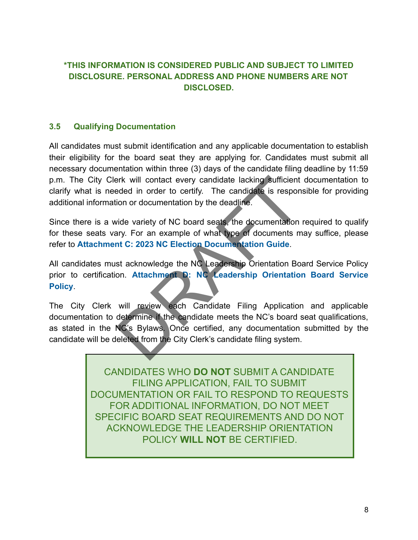# **\*THIS INFORMATION IS CONSIDERED PUBLIC AND SUBJECT TO LIMITED DISCLOSURE. PERSONAL ADDRESS AND PHONE NUMBERS ARE NOT DISCLOSED.**

#### **3.5 Qualifying Documentation**

All candidates must submit identification and any applicable documentation to establish their eligibility for the board seat they are applying for. Candidates must submit all necessary documentation within three (3) days of the candidate filing deadline by 11:59 p.m. The City Clerk will contact every candidate lacking sufficient documentation to clarify what is needed in order to certify. The candidate is responsible for providing additional information or documentation by the deadline.

Since there is a wide variety of NC board seats, the documentation required to qualify for these seats vary. For an example of what type of documents may suffice, please refer to **Attachment C: 2023 NC Election Documentation Guide**.

All candidates must acknowledge the NC Leadership Orientation Board Service Policy prior to certification. **Attachment D: NC Leadership Orientation Board Service Policy**.

The City Clerk will review each Candidate Filing Application and applicable documentation to determine if the candidate meets the NC's board seat qualifications, as stated in the NC's Bylaws. Once certified, any documentation submitted by the candidate will be deleted from the City Clerk's candidate filing system. First will contact every candidate lacking sufficient<br>
Example of the candidate is responsion or documentation by the deadline.<br>
Exide variety of NC board seats, the documentation<br>
The candidate.<br>
The candidate of what typ

> CANDIDATES WHO **DO NOT** SUBMIT A CANDIDATE FILING APPLICATION, FAIL TO SUBMIT DOCUMENTATION OR FAIL TO RESPOND TO REQUESTS FOR ADDITIONAL INFORMATION, DO NOT MEET SPECIFIC BOARD SEAT REQUIREMENTS AND DO NOT ACKNOWLEDGE THE LEADERSHIP ORIENTATION POLICY **WILL NOT** BE CERTIFIED.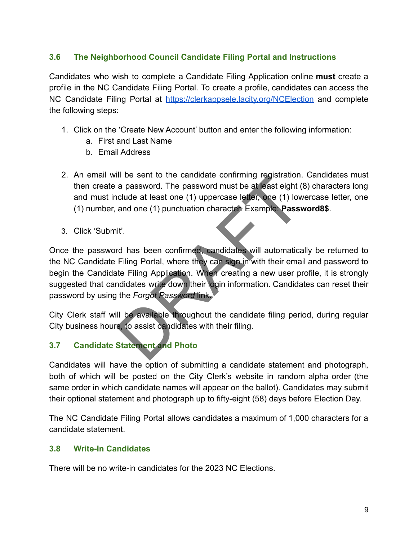### **3.6 The Neighborhood Council Candidate Filing Portal and Instructions**

Candidates who wish to complete a Candidate Filing Application online **must** create a profile in the NC Candidate Filing Portal. To create a profile, candidates can access the NC Candidate Filing Portal at <https://clerkappsele.lacity.org/NCElection> and complete the following steps:

- 1. Click on the 'Create New Account' button and enter the following information:
	- a. First and Last Name
	- b. Email Address
- 2. An email will be sent to the candidate confirming registration. Candidates must then create a password. The password must be at least eight (8) characters long and must include at least one (1) uppercase letter, one (1) lowercase letter, one (1) number, and one (1) punctuation character. Example: **Password8\$**.
- 3. Click 'Submit'.

Once the password has been confirmed, candidates will automatically be returned to the NC Candidate Filing Portal, where they can sign in with their email and password to begin the Candidate Filing Application. When creating a new user profile, it is strongly suggested that candidates write down their login information. Candidates can reset their password by using the *Forgot Password* link. In be sent to the candidate committing registration.<br>
a password. The password must be at least eight (<br>
ciclude at least one (1) uppercase letter, one (1) low<br>
and one (1) punctuation character. Example **Passwit**<br>
it'.<br>
I

City Clerk staff will be available throughout the candidate filing period, during regular City business hours, to assist candidates with their filing.

# **3.7 Candidate Statement and Photo**

Candidates will have the option of submitting a candidate statement and photograph, both of which will be posted on the City Clerk's website in random alpha order (the same order in which candidate names will appear on the ballot). Candidates may submit their optional statement and photograph up to fifty-eight (58) days before Election Day.

The NC Candidate Filing Portal allows candidates a maximum of 1,000 characters for a candidate statement.

#### **3.8 Write-In Candidates**

There will be no write-in candidates for the 2023 NC Elections.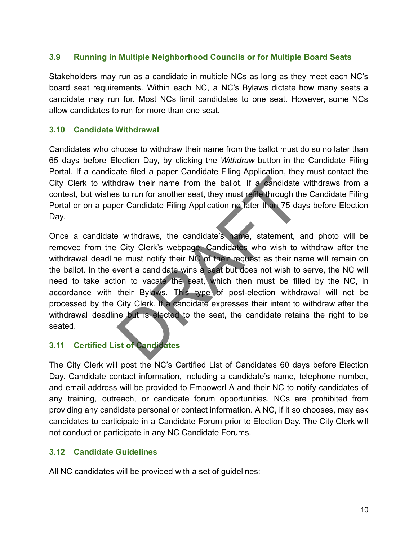#### **3.9 Running in Multiple Neighborhood Councils or for Multiple Board Seats**

Stakeholders may run as a candidate in multiple NCs as long as they meet each NC's board seat requirements. Within each NC, a NC's Bylaws dictate how many seats a candidate may run for. Most NCs limit candidates to one seat. However, some NCs allow candidates to run for more than one seat.

#### **3.10 Candidate Withdrawal**

Candidates who choose to withdraw their name from the ballot must do so no later than 65 days before Election Day, by clicking the *Withdraw* button in the Candidate Filing Portal. If a candidate filed a paper Candidate Filing Application, they must contact the City Clerk to withdraw their name from the ballot. If a candidate withdraws from a contest, but wishes to run for another seat, they must refile through the Candidate Filing Portal or on a paper Candidate Filing Application no later than 75 days before Election Day.

Once a candidate withdraws, the candidate's name, statement, and photo will be removed from the City Clerk's webpage. Candidates who wish to withdraw after the withdrawal deadline must notify their NC of their request as their name will remain on the ballot. In the event a candidate wins a seat but does not wish to serve, the NC will need to take action to vacate the seat, which then must be filled by the NC, in accordance with their Bylaws. This type of post-election withdrawal will not be processed by the City Clerk. If a candidate expresses their intent to withdraw after the withdrawal deadline but is elected to the seat, the candidate retains the right to be seated. draw their name from the ballot. If a candidate<br>s to run for another seat, they must reflie through th<br>er Candidate Filing Application no later than 75 da<br>e withdraws, the candidate's name, statement, a<br>City Clerk's webpag

#### **3.11 Certified List of Candidates**

The City Clerk will post the NC's Certified List of Candidates 60 days before Election Day. Candidate contact information, including a candidate's name, telephone number, and email address will be provided to EmpowerLA and their NC to notify candidates of any training, outreach, or candidate forum opportunities. NCs are prohibited from providing any candidate personal or contact information. A NC, if it so chooses, may ask candidates to participate in a Candidate Forum prior to Election Day. The City Clerk will not conduct or participate in any NC Candidate Forums.

#### **3.12 Candidate Guidelines**

All NC candidates will be provided with a set of guidelines: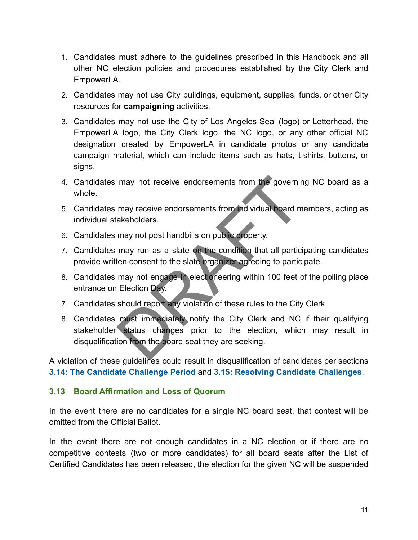- 1. Candidates must adhere to the guidelines prescribed in this Handbook and all other NC election policies and procedures established by the City Clerk and EmpowerLA.
- 2. Candidates may not use City buildings, equipment, supplies, funds, or other City resources for **campaigning** activities.
- 3. Candidates may not use the City of Los Angeles Seal (logo) or Letterhead, the EmpowerLA logo, the City Clerk logo, the NC logo, or any other official NC designation created by EmpowerLA in candidate photos or any candidate campaign material, which can include items such as hats, t-shirts, buttons, or signs.
- 4. Candidates may not receive endorsements from the governing NC board as a whole.
- 5. Candidates may receive endorsements from individual board members, acting as individual stakeholders.
- 6. Candidates may not post handbills on public property.
- 7. Candidates may run as a slate on the condition that all participating candidates provide written consent to the slate organizer agreeing to participate.
- 8. Candidates may not engage in electioneering within 100 feet of the polling place entrance on Election Day.
- 7. Candidates should report any violation of these rules to the City Clerk.
- 8. Candidates must immediately notify the City Clerk and NC if their qualifying stakeholder status changes prior to the election, which may result in disqualification from the board seat they are seeking. may not receive endorsements from the governir<br>may receive endorsements from individual board m<br>akeholders.<br>may not post handbills on public property.<br>may run as a slate on the condition that all partic<br>ten consent to the

A violation of these guidelines could result in disqualification of candidates per sections **3.14: The Candidate Challenge Period** and **3.15: Resolving Candidate Challenges**.

#### **3.13 Board Affirmation and Loss of Quorum**

In the event there are no candidates for a single NC board seat, that contest will be omitted from the Official Ballot.

In the event there are not enough candidates in a NC election or if there are no competitive contests (two or more candidates) for all board seats after the List of Certified Candidates has been released, the election for the given NC will be suspended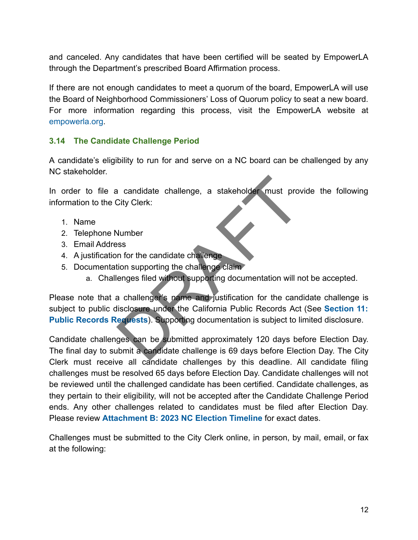and canceled. Any candidates that have been certified will be seated by EmpowerLA through the Department's prescribed Board Affirmation process.

If there are not enough candidates to meet a quorum of the board, EmpowerLA will use the Board of Neighborhood Commissioners' Loss of Quorum policy to seat a new board. For more information regarding this process, visit the EmpowerLA website at empowerla.org.

### **3.14 The Candidate Challenge Period**

A candidate's eligibility to run for and serve on a NC board can be challenged by any NC stakeholder.

In order to file a candidate challenge, a stakeholder must provide the following information to the City Clerk:

- 1. Name
- 2. Telephone Number
- 3. Email Address
- 4. A justification for the candidate challenge
- 5. Documentation supporting the challenge claim
	- a. Challenges filed without supporting documentation will not be accepted.

Please note that a challenger's name and justification for the candidate challenge is subject to public disclosure under the California Public Records Act (See **Section 11: Public Records Requests**). Supporting documentation is subject to limited disclosure. a candidate challenge, a stakeholder must prove<br>City Clerk:<br>Number<br>Sessen for the candidate challenge claim<br>disclosure under the challenge claim<br>a challenger's name and justification for the cand<br>disclosure under the Calif

Candidate challenges can be submitted approximately 120 days before Election Day. The final day to submit a candidate challenge is 69 days before Election Day. The City Clerk must receive all candidate challenges by this deadline. All candidate filing challenges must be resolved 65 days before Election Day. Candidate challenges will not be reviewed until the challenged candidate has been certified. Candidate challenges, as they pertain to their eligibility, will not be accepted after the Candidate Challenge Period ends. Any other challenges related to candidates must be filed after Election Day. Please review **Attachment B: 2023 NC Election Timeline** for exact dates.

Challenges must be submitted to the City Clerk online, in person, by mail, email, or fax at the following: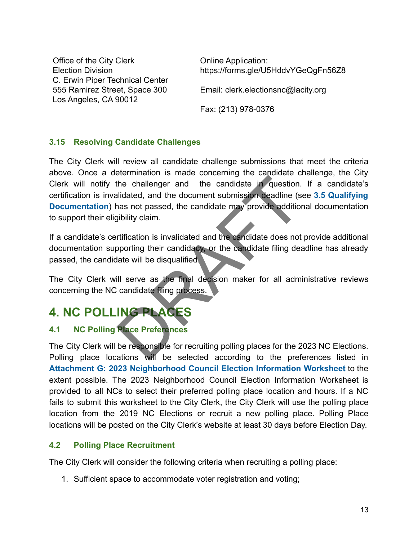Office of the City Clerk Election Division C. Erwin Piper Technical Center 555 Ramirez Street, Space 300 Los Angeles, CA 90012

Online Application: https://forms.gle/U5HddvYGeQgFn56Z8

Email: clerk.electionsnc@lacity.org

Fax: (213) 978-0376

### **3.15 Resolving Candidate Challenges**

The City Clerk will review all candidate challenge submissions that meet the criteria above. Once a determination is made concerning the candidate challenge, the City Clerk will notify the challenger and the candidate in question. If a candidate's certification is invalidated, and the document submission deadline (see **3.5 Qualifying Documentation**) has not passed, the candidate may provide additional documentation to support their eligibility claim. The challenger and the candidate in question.<br>
lidated, and the document submission deadline (s<br>
ans not passed, the candidate may provide addition<br>
jibility claim.<br>
rtification is invalidated and the candidate does not<br>
o

If a candidate's certification is invalidated and the candidate does not provide additional documentation supporting their candidacy, or the candidate filing deadline has already passed, the candidate will be disqualified.

The City Clerk will serve as the final decision maker for all administrative reviews concerning the NC candidate filing process.

# **4. NC POLLING PLACES**

# **4.1 NC Polling Place Preferences**

The City Clerk will be responsible for recruiting polling places for the 2023 NC Elections. Polling place locations will be selected according to the preferences listed in **Attachment G: 2023 Neighborhood Council Election Information Worksheet** to the extent possible. The 2023 Neighborhood Council Election Information Worksheet is provided to all NCs to select their preferred polling place location and hours. If a NC fails to submit this worksheet to the City Clerk, the City Clerk will use the polling place location from the 2019 NC Elections or recruit a new polling place. Polling Place locations will be posted on the City Clerk's website at least 30 days before Election Day.

#### **4.2 Polling Place Recruitment**

The City Clerk will consider the following criteria when recruiting a polling place:

1. Sufficient space to accommodate voter registration and voting;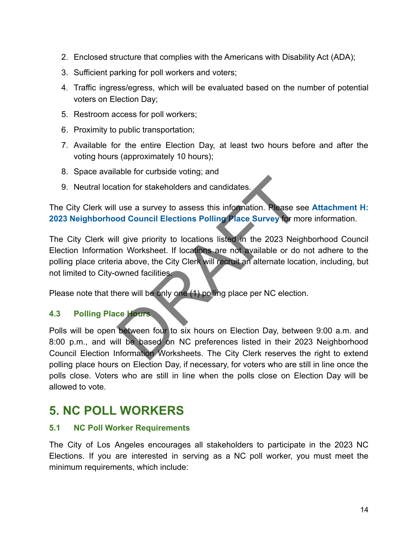- 2. Enclosed structure that complies with the Americans with Disability Act (ADA);
- 3. Sufficient parking for poll workers and voters;
- 4. Traffic ingress/egress, which will be evaluated based on the number of potential voters on Election Day;
- 5. Restroom access for poll workers;
- 6. Proximity to public transportation;
- 7. Available for the entire Election Day, at least two hours before and after the voting hours (approximately 10 hours);
- 8. Space available for curbside voting; and
- 9. Neutral location for stakeholders and candidates.

The City Clerk will use a survey to assess this information. Please see **Attachment H: 2023 Neighborhood Council Elections Polling Place Survey** for more information.

The City Clerk will give priority to locations listed in the 2023 Neighborhood Council Election Information Worksheet. If locations are not available or do not adhere to the polling place criteria above, the City Clerk will recruit an alternate location, including, but not limited to City-owned facilities. tion for stakeholders and candidates.<br>
use a survey to assess this information. Please se<br>
od Council Elections Polling Place Survey for mo<br>
Il give priority to locations listed in the 2023 Neig<br>
on Worksheet. If locations

Please note that there will be only one (1) polling place per NC election.

## **4.3 Polling Place Hours**

Polls will be open between four to six hours on Election Day, between 9:00 a.m. and 8:00 p.m., and will be based on NC preferences listed in their 2023 Neighborhood Council Election Information Worksheets. The City Clerk reserves the right to extend polling place hours on Election Day, if necessary, for voters who are still in line once the polls close. Voters who are still in line when the polls close on Election Day will be allowed to vote.

# **5. NC POLL WORKERS**

#### **5.1 NC Poll Worker Requirements**

The City of Los Angeles encourages all stakeholders to participate in the 2023 NC Elections. If you are interested in serving as a NC poll worker, you must meet the minimum requirements, which include: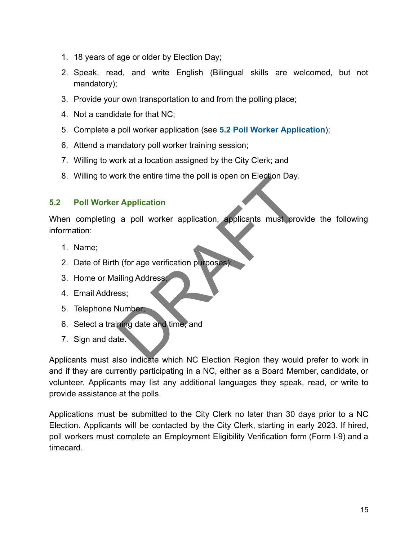- 1. 18 years of age or older by Election Day;
- 2. Speak, read, and write English (Bilingual skills are welcomed, but not mandatory);
- 3. Provide your own transportation to and from the polling place;
- 4. Not a candidate for that NC;
- 5. Complete a poll worker application (see **5.2 Poll Worker Application**);
- 6. Attend a mandatory poll worker training session;
- 7. Willing to work at a location assigned by the City Clerk; and
- 8. Willing to work the entire time the poll is open on Election Day.

#### **5.2 Poll Worker Application**

When completing a poll worker application, applicants must provide the following information: The entire time the politics open on Election Day.<br>
The Application<br>
a politic worker application, applicants must provide<br>
a formula provides.<br>
Sumber,<br>
Sumber,<br>
also indicate which NC Election Begion they would

- 1. Name;
- 2. Date of Birth (for age verification purposes);
- 3. Home or Mailing Address;
- 4. Email Address;
- 5. Telephone Number;
- 6. Select a training date and time; and
- 7. Sign and date.

Applicants must also indicate which NC Election Region they would prefer to work in and if they are currently participating in a NC, either as a Board Member, candidate, or volunteer. Applicants may list any additional languages they speak, read, or write to provide assistance at the polls.

Applications must be submitted to the City Clerk no later than 30 days prior to a NC Election. Applicants will be contacted by the City Clerk, starting in early 2023. If hired, poll workers must complete an Employment Eligibility Verification form (Form I-9) and a timecard.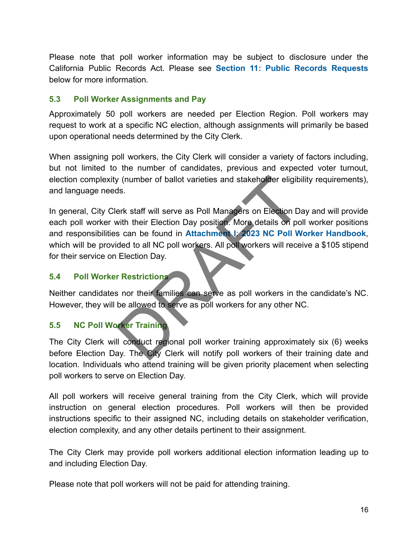Please note that poll worker information may be subject to disclosure under the California Public Records Act. Please see **Section 11: Public Records Requests** below for more information.

#### **5.3 Poll Worker Assignments and Pay**

Approximately 50 poll workers are needed per Election Region. Poll workers may request to work at a specific NC election, although assignments will primarily be based upon operational needs determined by the City Clerk.

When assigning poll workers, the City Clerk will consider a variety of factors including, but not limited to the number of candidates, previous and expected voter turnout, election complexity (number of ballot varieties and stakeholder eligibility requirements), and language needs.

In general, City Clerk staff will serve as Poll Managers on Election Day and will provide each poll worker with their Election Day position. More details on poll worker positions and responsibilities can be found in **Attachment I**: **2023 NC Poll Worker Handbook**, which will be provided to all NC poll workers. All poll workers will receive a \$105 stipend for their service on Election Day. Training<br>
It conduct regional politicials and stakeholder eligibits.<br>
Their Election Day position. More details on po<br>
Secan be found in Attachment 1: 2023 NC Political<br>
It conduct of all NC politicials can serve as politi

#### **5.4 Poll Worker Restrictions**

Neither candidates nor their families can serve as poll workers in the candidate's NC. However, they will be allowed to serve as poll workers for any other NC.

#### **5.5 NC Poll Worker Training**

The City Clerk will conduct regional poll worker training approximately six (6) weeks before Election Day. The City Clerk will notify poll workers of their training date and location. Individuals who attend training will be given priority placement when selecting poll workers to serve on Election Day.

All poll workers will receive general training from the City Clerk, which will provide instruction on general election procedures. Poll workers will then be provided instructions specific to their assigned NC, including details on stakeholder verification, election complexity, and any other details pertinent to their assignment.

The City Clerk may provide poll workers additional election information leading up to and including Election Day.

Please note that poll workers will not be paid for attending training.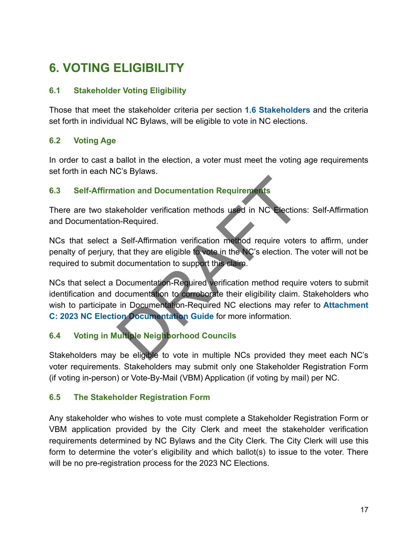# **6. VOTING ELIGIBILITY**

## **6.1 Stakeholder Voting Eligibility**

Those that meet the stakeholder criteria per section **1.6 Stakeholders** and the criteria set forth in individual NC Bylaws, will be eligible to vote in NC elections.

## **6.2 Voting Age**

In order to cast a ballot in the election, a voter must meet the voting age requirements set forth in each NC's Bylaws.

# **6.3 Self-Affirmation and Documentation Requirements**

There are two stakeholder verification methods used in NC Elections: Self-Affirmation and Documentation-Required.

NCs that select a Self-Affirmation verification method require voters to affirm, under penalty of perjury, that they are eligible to vote in the NC's election. The voter will not be required to submit documentation to support this claim.

NCs that select a Documentation-Required verification method require voters to submit identification and documentation to corroborate their eligibility claim. Stakeholders who wish to participate in Documentation-Required NC elections may refer to **Attachment C: 2023 NC Election Documentation Guide** for more information. ation and Documentation Requirements<br>
keholder verification methods used in NC Election<br>
n-Required.<br>
LSelf-Affirmation verification method require voter<br>
that they are eligible to vote in the NC's election. The<br>
documenta

# **6.4 Voting in Multiple Neighborhood Councils**

Stakeholders may be eligible to vote in multiple NCs provided they meet each NC's voter requirements. Stakeholders may submit only one Stakeholder Registration Form (if voting in-person) or Vote-By-Mail (VBM) Application (if voting by mail) per NC.

## **6.5 The Stakeholder Registration Form**

Any stakeholder who wishes to vote must complete a Stakeholder Registration Form or VBM application provided by the City Clerk and meet the stakeholder verification requirements determined by NC Bylaws and the City Clerk. The City Clerk will use this form to determine the voter's eligibility and which ballot(s) to issue to the voter. There will be no pre-registration process for the 2023 NC Elections.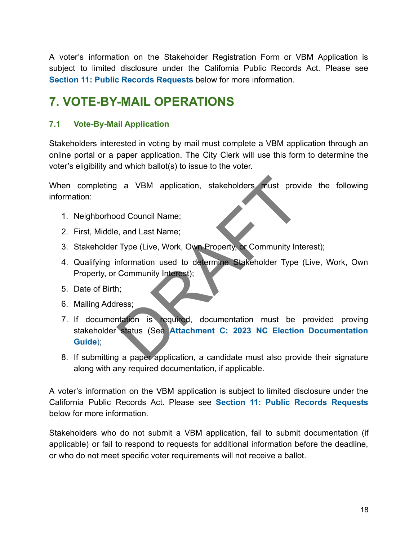A voter's information on the Stakeholder Registration Form or VBM Application is subject to limited disclosure under the California Public Records Act. Please see **Section 11: Public Records Requests** below for more information.

# **7. VOTE-BY-MAIL OPERATIONS**

### **7.1 Vote-By-Mail Application**

Stakeholders interested in voting by mail must complete a VBM application through an online portal or a paper application. The City Clerk will use this form to determine the voter's eligibility and which ballot(s) to issue to the voter.

When completing a VBM application, stakeholders must provide the following information:

- 1. Neighborhood Council Name;
- 2. First, Middle, and Last Name;
- 3. Stakeholder Type (Live, Work, Own Property, or Community Interest);
- 4. Qualifying information used to determine Stakeholder Type (Live, Work, Own Property, or Community Interest);
- 5. Date of Birth;
- 6. Mailing Address;
- 7. If documentation is required, documentation must be provided proving stakeholder status (See **Attachment C: 2023 NC Election Documentation Guide**); a VBM application, stakeholders must provided and Council Name;<br>
See, and Last Name;<br>
Type (Live, Work, Own Property, or Community Internation used to determine Stakeholder Type<br>
Community Interest);<br>
Tress;<br>
tation is req
- 8. If submitting a paper application, a candidate must also provide their signature along with any required documentation, if applicable.

A voter's information on the VBM application is subject to limited disclosure under the California Public Records Act. Please see **Section 11: Public Records Requests** below for more information.

Stakeholders who do not submit a VBM application, fail to submit documentation (if applicable) or fail to respond to requests for additional information before the deadline, or who do not meet specific voter requirements will not receive a ballot.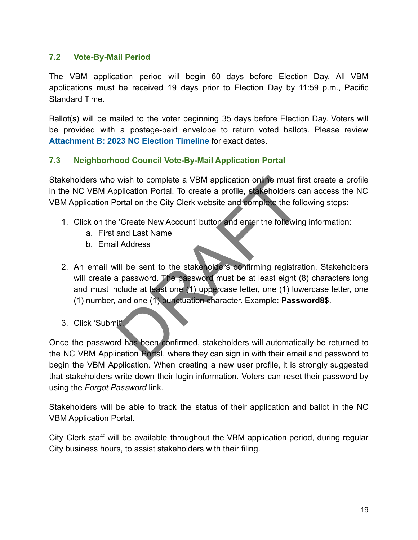#### **7.2 Vote-By-Mail Period**

The VBM application period will begin 60 days before Election Day. All VBM applications must be received 19 days prior to Election Day by 11:59 p.m., Pacific Standard Time.

Ballot(s) will be mailed to the voter beginning 35 days before Election Day. Voters will be provided with a postage-paid envelope to return voted ballots. Please review **Attachment B: 2023 NC Election Timeline** for exact dates.

#### **7.3 Neighborhood Council Vote-By-Mail Application Portal**

Stakeholders who wish to complete a VBM application online must first create a profile in the NC VBM Application Portal. To create a profile, stakeholders can access the NC VBM Application Portal on the City Clerk website and complete the following steps:

- 1. Click on the 'Create New Account' button and enter the following information:
	- a. First and Last Name
	- b. Email Address
- 2. An email will be sent to the stakeholders confirming registration. Stakeholders will create a password. The password must be at least eight (8) characters long and must include at least one (1) uppercase letter, one (1) lowercase letter, one (1) number, and one (1) punctuation character. Example: **Password8\$**. wish to complete a VBM application online must film<br>plication Portal. To create a profile, stakeholders cortal on the City Clerk website and complete the foll<br>Create New Account' button and enter the followine<br>and Last Nam
- 3. Click 'Submit'.

Once the password has been confirmed, stakeholders will automatically be returned to the NC VBM Application Portal, where they can sign in with their email and password to begin the VBM Application. When creating a new user profile, it is strongly suggested that stakeholders write down their login information. Voters can reset their password by using the *Forgot Password* link.

Stakeholders will be able to track the status of their application and ballot in the NC VBM Application Portal.

City Clerk staff will be available throughout the VBM application period, during regular City business hours, to assist stakeholders with their filing.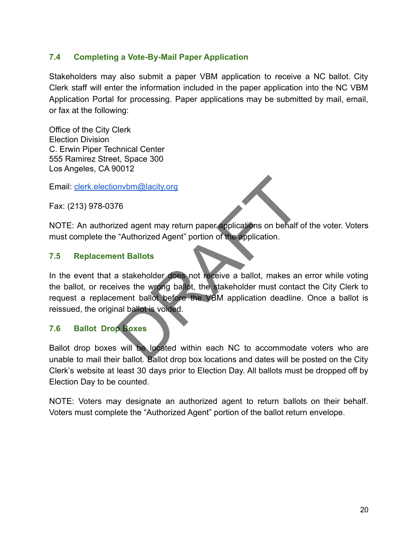### **7.4 Completing a Vote-By-Mail Paper Application**

Stakeholders may also submit a paper VBM application to receive a NC ballot. City Clerk staff will enter the information included in the paper application into the NC VBM Application Portal for processing. Paper applications may be submitted by mail, email, or fax at the following:

Office of the City Clerk Election Division C. Erwin Piper Technical Center 555 Ramirez Street, Space 300 Los Angeles, CA 90012

Email: [clerk.electionvbm@lacity.org](mailto:clerk.electionvbm@lacity.org)

Fax: (213) 978-0376

NOTE: An authorized agent may return paper applications on behalf of the voter. Voters must complete the "Authorized Agent" portion of the application.

#### **7.5 Replacement Ballots**

In the event that a stakeholder does not receive a ballot, makes an error while voting the ballot, or receives the wrong ballot, the stakeholder must contact the City Clerk to request a replacement ballot before the VBM application deadline. Once a ballot is reissued, the original ballot is voided. Invbm@lacity.org<br>
The sed agent may return paper applications on behalf of<br>
"Authorized Agent" portion of the application.<br>
The application.<br>
The stakeholder does not receive a ballot, makes an<br>
tives the wrong ballot, the

#### **7.6 Ballot Drop Boxes**

Ballot drop boxes will be located within each NC to accommodate voters who are unable to mail their ballot. Ballot drop box locations and dates will be posted on the City Clerk's website at least 30 days prior to Election Day. All ballots must be dropped off by Election Day to be counted.

NOTE: Voters may designate an authorized agent to return ballots on their behalf. Voters must complete the "Authorized Agent" portion of the ballot return envelope.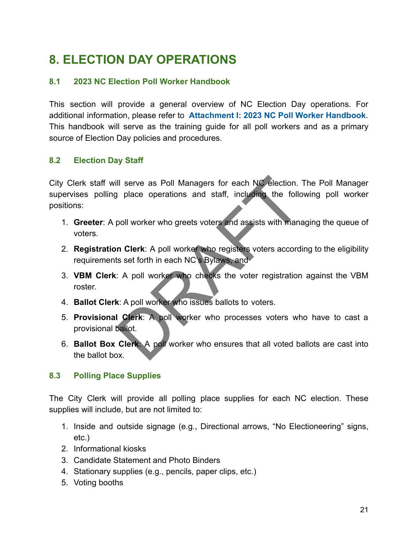# **8. ELECTION DAY OPERATIONS**

### **8.1 2023 NC Election Poll Worker Handbook**

This section will provide a general overview of NC Election Day operations. For additional information, please refer to **Attachment I: 2023 NC Poll Worker Handbook**. This handbook will serve as the training guide for all poll workers and as a primary source of Election Day policies and procedures.

#### **8.2 Election Day Staff**

City Clerk staff will serve as Poll Managers for each NC election. The Poll Manager supervises polling place operations and staff, including the following poll worker positions: Il serve as Poll Managers for each NC election.<br>
I place operations and staff, including the follow<br>
poll worker who greets voters and assists with mana<br>
n Clerk: A poll worker who registers voters accord<br>
is set forth in

- 1. **Greeter**: A poll worker who greets voters and assists with managing the queue of voters.
- 2. **Registration Clerk**: A poll worker who registers voters according to the eligibility requirements set forth in each NC's Bylaws, and
- 3. **VBM Clerk**: A poll worker who checks the voter registration against the VBM roster.
- 4. **Ballot Clerk**: A poll worker who issues ballots to voters.
- 5. **Provisional Clerk**: A poll worker who processes voters who have to cast a provisional ballot.
- 6. **Ballot Box Clerk**: A poll worker who ensures that all voted ballots are cast into the ballot box.

#### **8.3 Polling Place Supplies**

The City Clerk will provide all polling place supplies for each NC election. These supplies will include, but are not limited to:

- 1. Inside and outside signage (e.g., Directional arrows, "No Electioneering" signs, etc.)
- 2. Informational kiosks
- 3. Candidate Statement and Photo Binders
- 4. Stationary supplies (e.g., pencils, paper clips, etc.)
- 5. Voting booths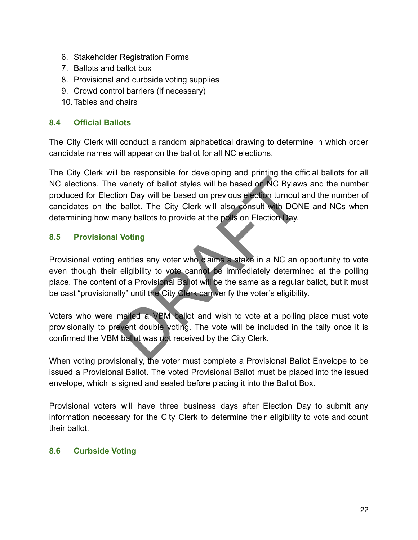- 6. Stakeholder Registration Forms
- 7. Ballots and ballot box
- 8. Provisional and curbside voting supplies
- 9. Crowd control barriers (if necessary)
- 10.Tables and chairs

#### **8.4 Official Ballots**

The City Clerk will conduct a random alphabetical drawing to determine in which order candidate names will appear on the ballot for all NC elections.

The City Clerk will be responsible for developing and printing the official ballots for all NC elections. The variety of ballot styles will be based on NC Bylaws and the number produced for Election Day will be based on previous election turnout and the number of candidates on the ballot. The City Clerk will also consult with DONE and NCs when determining how many ballots to provide at the polls on Election Day. The vector pair of the city of the city of the city of ballot styles will be based on NC Bylaw<br>
ballot. The City Clerk will also consult with DON<br>
hany ballots to provide at the polls on Election Day.<br> **Drawing**<br> **Drawing** 

#### **8.5 Provisional Voting**

Provisional voting entitles any voter who claims a stake in a NC an opportunity to vote even though their eligibility to vote cannot be immediately determined at the polling place. The content of a Provisional Ballot will be the same as a regular ballot, but it must be cast "provisionally" until the City Clerk can verify the voter's eligibility.

Voters who were mailed a VBM ballot and wish to vote at a polling place must vote provisionally to prevent double voting. The vote will be included in the tally once it is confirmed the VBM ballot was not received by the City Clerk.

When voting provisionally, the voter must complete a Provisional Ballot Envelope to be issued a Provisional Ballot. The voted Provisional Ballot must be placed into the issued envelope, which is signed and sealed before placing it into the Ballot Box.

Provisional voters will have three business days after Election Day to submit any information necessary for the City Clerk to determine their eligibility to vote and count their ballot.

#### **8.6 Curbside Voting**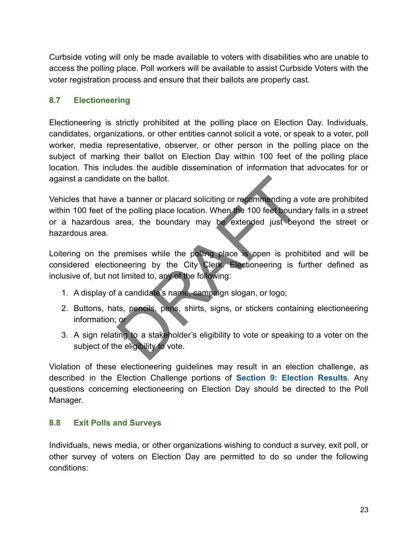Curbside voting will only be made available to voters with disabilities who are unable to access the polling place. Poll workers will be available to assist Curbside Voters with the voter registration process and ensure that their ballots are properly cast.

### **8.7 Electioneering**

Electioneering is strictly prohibited at the polling place on Election Day. Individuals, candidates, organizations, or other entities cannot solicit a vote, or speak to a voter, poll worker, media representative, observer, or other person in the polling place on the subject of marking their ballot on Election Day within 100 feet of the polling place location. This includes the audible dissemination of information that advocates for or against a candidate on the ballot.

Vehicles that have a banner or placard soliciting or recommending a vote are prohibited within 100 feet of the polling place location. When the 100 feet boundary falls in a street or a hazardous area, the boundary may be extended just beyond the street or hazardous area. e on the ballot.<br>
a banner or placard soliciting or recommending a v<br>
the polling place location. When the 100 feet boundarea, the boundary may be extended just beyon<br>
area, the boundary may be extended just beyon<br>
premise

Loitering on the premises while the polling place is open is prohibited and will be considered electioneering by the City Clerk. Electioneering is further defined as inclusive of, but not limited to, any of the following:

- 1. A display of a candidate's name, campaign slogan, or logo;
- 2. Buttons, hats, pencils, pens, shirts, signs, or stickers containing electioneering information; or
- 3. A sign relating to a stakeholder's eligibility to vote or speaking to a voter on the subject of the eligibility to vote.

Violation of these electioneering guidelines may result in an election challenge, as described in the Election Challenge portions of **Section 9: Election Results**. Any questions concerning electioneering on Election Day should be directed to the Poll Manager.

#### **8.8 Exit Polls and Surveys**

Individuals, news media, or other organizations wishing to conduct a survey, exit poll, or other survey of voters on Election Day are permitted to do so under the following conditions: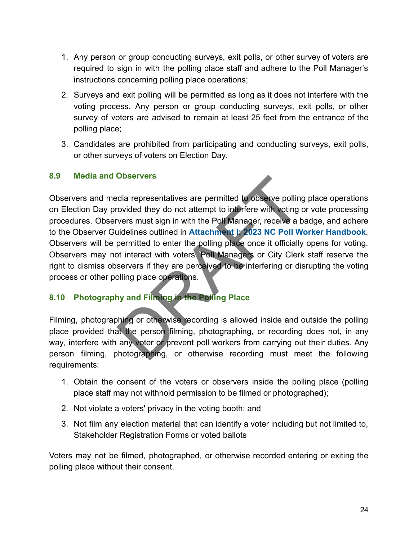- 1. Any person or group conducting surveys, exit polls, or other survey of voters are required to sign in with the polling place staff and adhere to the Poll Manager's instructions concerning polling place operations;
- 2. Surveys and exit polling will be permitted as long as it does not interfere with the voting process. Any person or group conducting surveys, exit polls, or other survey of voters are advised to remain at least 25 feet from the entrance of the polling place;
- 3. Candidates are prohibited from participating and conducting surveys, exit polls, or other surveys of voters on Election Day.

#### **8.9 Media and Observers**

Observers and media representatives are permitted to observe polling place operations on Election Day provided they do not attempt to interfere with voting or vote processing procedures. Observers must sign in with the Poll Manager, receive a badge, and adhere to the Observer Guidelines outlined in **Attachment I: 2023 NC Poll Worker Handbook**. Observers will be permitted to enter the polling place once it officially opens for voting. Observers may not interact with voters. Poll Managers or City Clerk staff reserve the right to dismiss observers if they are perceived to be interfering or disrupting the voting process or other polling place operations. **CONSERVERS**<br>
DISERVERS<br>
dia representatives are permitted to observe polling<br>
ovided they do not attempt to interfere with voting<br>
vers must sign in with the Poll Manager, receive a b<br>
idelines outlined in Attachment I: 2

# **8.10 Photography and Filming in the Polling Place**

Filming, photographing or otherwise recording is allowed inside and outside the polling place provided that the person filming, photographing, or recording does not, in any way, interfere with any voter or prevent poll workers from carrying out their duties. Any person filming, photographing, or otherwise recording must meet the following requirements:

- 1. Obtain the consent of the voters or observers inside the polling place (polling place staff may not withhold permission to be filmed or photographed);
- 2. Not violate a voters' privacy in the voting booth; and
- 3. Not film any election material that can identify a voter including but not limited to, Stakeholder Registration Forms or voted ballots

Voters may not be filmed, photographed, or otherwise recorded entering or exiting the polling place without their consent.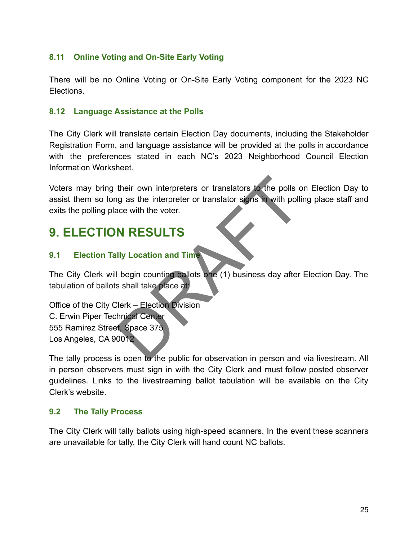### **8.11 Online Voting and On-Site Early Voting**

There will be no Online Voting or On-Site Early Voting component for the 2023 NC Elections.

#### **8.12 Language Assistance at the Polls**

The City Clerk will translate certain Election Day documents, including the Stakeholder Registration Form, and language assistance will be provided at the polls in accordance with the preferences stated in each NC's 2023 Neighborhood Council Election Information Worksheet.

Voters may bring their own interpreters or translators to the polls on Election Day to assist them so long as the interpreter or translator signs in with polling place staff and exits the polling place with the voter. their own interpreters or translators to the polls of<br>the polls of the polls of<br>the vertext of the vertext<br>of the vertext<br>of the vertext<br>of the vertext<br>of the vertext<br>of the place at:<br>Dependence of the place at:<br>Dependence

# **9. ELECTION RESULTS**

#### **9.1 Election Tally Location and Time**

The City Clerk will begin counting ballots one (1) business day after Election Day. The tabulation of ballots shall take place at:

Office of the City Clerk – Election Division C. Erwin Piper Technical Center 555 Ramirez Street, Space 375 Los Angeles, CA 90012

The tally process is open to the public for observation in person and via livestream. All in person observers must sign in with the City Clerk and must follow posted observer guidelines. Links to the livestreaming ballot tabulation will be available on the City Clerk's website.

#### **9.2 The Tally Process**

The City Clerk will tally ballots using high-speed scanners. In the event these scanners are unavailable for tally, the City Clerk will hand count NC ballots.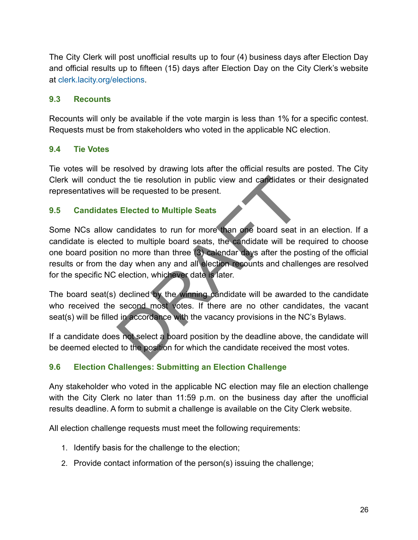The City Clerk will post unofficial results up to four (4) business days after Election Day and official results up to fifteen (15) days after Election Day on the City Clerk's website at [clerk.lacity.org/elections.](http://clerk.lacity.org/los-angeles-city-clerk-election-division)

#### **9.3 Recounts**

Recounts will only be available if the vote margin is less than 1% for a specific contest. Requests must be from stakeholders who voted in the applicable NC election.

#### **9.4 Tie Votes**

Tie votes will be resolved by drawing lots after the official results are posted. The City Clerk will conduct the tie resolution in public view and candidates or their designated representatives will be requested to be present.

#### **9.5 Candidates Elected to Multiple Seats**

Some NCs allow candidates to run for more than one board seat in an election. If a candidate is elected to multiple board seats, the candidate will be required to choose one board position no more than three (3) calendar days after the posting of the official results or from the day when any and all election recounts and challenges are resolved for the specific NC election, whichever date is later. the tie resolution in public view and candidates of<br>
Lectrical to be present.<br>
Lectrical to Multiple Seats<br>
candidates to run for more than one board seat in<br>
ed to multiple board seats, the candidate will be run in once t

The board seat(s) declined by the winning candidate will be awarded to the candidate who received the second most votes. If there are no other candidates, the vacant seat(s) will be filled in accordance with the vacancy provisions in the NC's Bylaws.

If a candidate does not select a board position by the deadline above, the candidate will be deemed elected to the position for which the candidate received the most votes.

#### **9.6 Election Challenges: Submitting an Election Challenge**

Any stakeholder who voted in the applicable NC election may file an election challenge with the City Clerk no later than 11:59 p.m. on the business day after the unofficial results deadline. A form to submit a challenge is available on the City Clerk website.

All election challenge requests must meet the following requirements:

- 1. Identify basis for the challenge to the election;
- 2. Provide contact information of the person(s) issuing the challenge;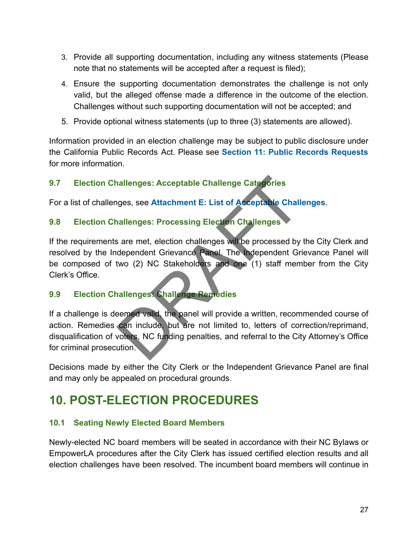- 3. Provide all supporting documentation, including any witness statements (Please note that no statements will be accepted after a request is filed);
- 4. Ensure the supporting documentation demonstrates the challenge is not only valid, but the alleged offense made a difference in the outcome of the election. Challenges without such supporting documentation will not be accepted; and
- 5. Provide optional witness statements (up to three (3) statements are allowed).

Information provided in an election challenge may be subject to public disclosure under the California Public Records Act. Please see **Section 11: Public Records Requests** for more information.

# **9.7 Election Challenges: Acceptable Challenge Categories**

For a list of challenges, see **Attachment E: List of Acceptable Challenges**.

# **9.8 Election Challenges: Processing Election Challenges**

If the requirements are met, election challenges will be processed by the City Clerk and resolved by the Independent Grievance Panel. The Independent Grievance Panel will be composed of two (2) NC Stakeholders and one (1) staff member from the City Clerk's Office.

## **9.9 Election Challenges: Challenge Remedies**

If a challenge is deemed valid, the panel will provide a written, recommended course of action. Remedies can include, but are not limited to, letters of correction/reprimand, disqualification of voters, NC funding penalties, and referral to the City Attorney's Office for criminal prosecution. nallenges: Acceptable Challenge Categories<br>uges, see Attachment E: List of Acceptable Challenges<br>are met, election challenges will be processed by<br>dependent Grievance Panel. The Independent Gri<br>two (2) NC Stakeholders and

Decisions made by either the City Clerk or the Independent Grievance Panel are final and may only be appealed on procedural grounds.

# **10. POST-ELECTION PROCEDURES**

## **10.1 Seating Newly Elected Board Members**

Newly-elected NC board members will be seated in accordance with their NC Bylaws or EmpowerLA procedures after the City Clerk has issued certified election results and all election challenges have been resolved. The incumbent board members will continue in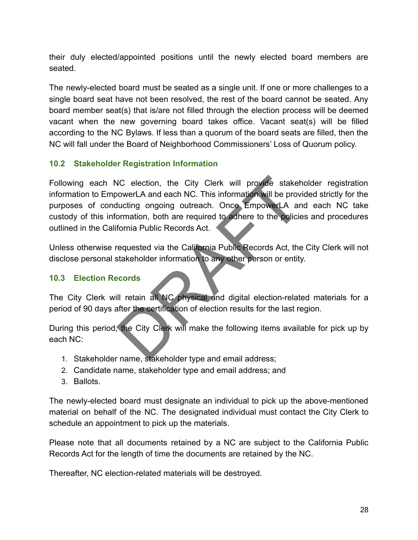their duly elected/appointed positions until the newly elected board members are seated.

The newly-elected board must be seated as a single unit. If one or more challenges to a single board seat have not been resolved, the rest of the board cannot be seated. Any board member seat(s) that is/are not filled through the election process will be deemed vacant when the new governing board takes office. Vacant seat(s) will be filled according to the NC Bylaws. If less than a quorum of the board seats are filled, then the NC will fall under the Board of Neighborhood Commissioners' Loss of Quorum policy.

### **10.2 Stakeholder Registration Information**

Following each NC election, the City Clerk will provide stakeholder registration information to EmpowerLA and each NC. This information will be provided strictly for the purposes of conducting ongoing outreach. Once EmpowerLA and each NC take custody of this information, both are required to adhere to the policies and procedures outlined in the California Public Records Act. VC election, the City Clerk will provide stakehoverLA and each NC. This information will be provided under the provide stakehoverLA and each NC. This information will be provided under the provided and contraction, both ar

Unless otherwise requested via the California Public Records Act, the City Clerk will not disclose personal stakeholder information to any other person or entity.

#### **10.3 Election Records**

The City Clerk will retain all NC physical and digital election-related materials for a period of 90 days after the certification of election results for the last region.

During this period, the City Clerk will make the following items available for pick up by each NC:

- 1. Stakeholder name, stakeholder type and email address;
- 2. Candidate name, stakeholder type and email address; and
- 3. Ballots.

The newly-elected board must designate an individual to pick up the above-mentioned material on behalf of the NC. The designated individual must contact the City Clerk to schedule an appointment to pick up the materials.

Please note that all documents retained by a NC are subject to the California Public Records Act for the length of time the documents are retained by the NC.

Thereafter, NC election-related materials will be destroyed.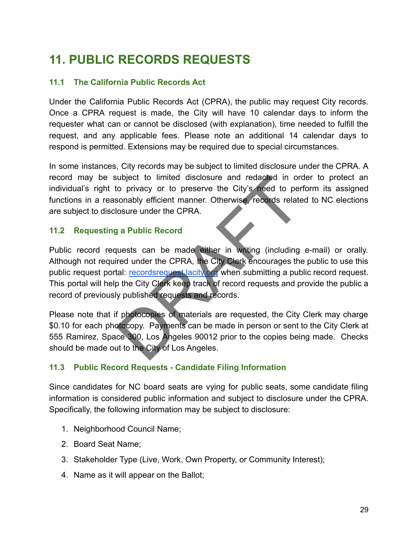# **11. PUBLIC RECORDS REQUESTS**

#### **11.1 The California Public Records Act**

Under the California Public Records Act (CPRA), the public may request City records. Once a CPRA request is made, the City will have 10 calendar days to inform the requester what can or cannot be disclosed (with explanation), time needed to fulfill the request, and any applicable fees. Please note an additional 14 calendar days to respond is permitted. Extensions may be required due to special circumstances.

In some instances, City records may be subject to limited disclosure under the CPRA. A record may be subject to limited disclosure and redacted in order to protect an individual's right to privacy or to preserve the City's need to perform its assigned functions in a reasonably efficient manner. Otherwise, records related to NC elections are subject to disclosure under the CPRA.

#### **11.2 Requesting a Public Record**

Public record requests can be made either in writing (including e-mail) or orally. Although not required under the CPRA, the City Clerk encourages the public to use this public request portal: recordsrequest. acity.org when submitting a public record request. This portal will help the City Clerk keep track of record requests and provide the public a record of previously published requests and records. ubject to limited disclosure and redacted in or<br>the privacy or to preserve the City's need to per<br>sonably efficient manner. Otherwise, records relate<br>osure under the CP[RA](https://recordsrequest.lacity.org/requests/new).<br>**1. a Public Record**<br>uests can be made either in

Please note that if photocopies of materials are requested, the City Clerk may charge \$0.10 for each photocopy. Payments can be made in person or sent to the City Clerk at 555 Ramirez, Space 300, Los Angeles 90012 prior to the copies being made. Checks should be made out to the City of Los Angeles.

#### **11.3 Public Record Requests - Candidate Filing Information**

Since candidates for NC board seats are vying for public seats, some candidate filing information is considered public information and subject to disclosure under the CPRA. Specifically, the following information may be subject to disclosure:

- 1. Neighborhood Council Name;
- 2. Board Seat Name;
- 3. Stakeholder Type (Live, Work, Own Property, or Community Interest);
- 4. Name as it will appear on the Ballot;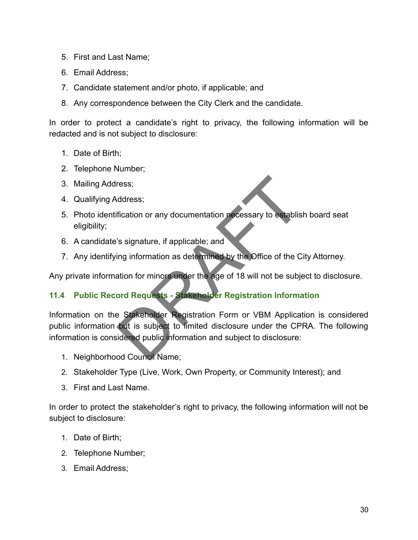- 5. First and Last Name;
- 6. Email Address;
- 7. Candidate statement and/or photo, if applicable; and
- 8. Any correspondence between the City Clerk and the candidate.

In order to protect a candidate's right to privacy, the following information will be redacted and is not subject to disclosure:

- 1. Date of Birth;
- 2. Telephone Number;
- 3. Mailing Address;
- 4. Qualifying Address;
- 5. Photo identification or any documentation necessary to establish board seat eligibility;
- 6. A candidate's signature, if applicable; and
- 7. Any identifying information as determined by the Office of the City Attorney.

Any private information for minors under the age of 18 will not be subject to disclosure.

## **11.4 Public Record Requests - Stakeholder Registration Information**

Information on the Stakeholder Registration Form or VBM Application is considered public information but is subject to limited disclosure under the CPRA. The following information is considered public information and subject to disclosure: ress;<br>ddress;<br>fication or any documentation necessary to establis<br>"s signature, if applicable; and<br>ing information as determined by the Office of the C<br>ation for minors under the age of 18 will not be subject<br>ord Requests

- 1. Neighborhood Council Name;
- 2. Stakeholder Type (Live, Work, Own Property, or Community Interest); and
- 3. First and Last Name.

In order to protect the stakeholder's right to privacy, the following information will not be subject to disclosure:

- 1. Date of Birth;
- 2. Telephone Number;
- 3. Email Address;